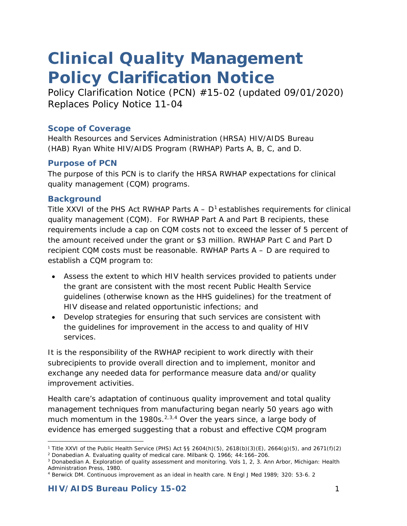# *Clinical Quality Management Policy Clarification Notice*

*Policy Clarification Notice (PCN) #15-02 (updated 09/01/2020) Replaces Policy Notice 11-04*

#### **Scope of Coverage**

Health Resources and Services Administration (HRSA) HIV/AIDS Bureau (HAB) Ryan White HIV/AIDS Program (RWHAP) Parts A, B, C, and D.

#### **Purpose of PCN**

The purpose of this PCN is to clarify the HRSA RWHAP expectations for clinical quality management (CQM) programs.

#### **Background**

Title XXVI of the PHS Act RWHAP Parts  $A - D<sup>1</sup>$  $A - D<sup>1</sup>$  $A - D<sup>1</sup>$  establishes requirements for clinical quality management (CQM). For RWHAP Part A and Part B recipients, these requirements include a cap on CQM costs not to exceed the lesser of 5 percent of the amount received under the grant or \$3 million. RWHAP Part C and Part D recipient CQM costs must be reasonable. RWHAP Parts A – D are required to establish a CQM program to:

- Assess the extent to which HIV health services provided to patients under the grant are consistent with the most recent Public Health Service guidelines (otherwise known as the HHS guidelines) for the treatment of HIV disease and related opportunistic infections; and
- Develop strategies for ensuring that such services are consistent with the guidelines for improvement in the access to and quality of HIV services.

It is the responsibility of the RWHAP recipient to work directly with their subrecipients to provide overall direction and to implement, monitor and exchange any needed data for performance measure data and/or quality improvement activities.

Health care's adaptation of continuous quality improvement and total quality management techniques from manufacturing began nearly 50 years ago with much momentum in the 1980s.<sup>2,[3](#page-0-2),[4](#page-0-3)</sup> Over the years since, a large body of evidence has emerged suggesting that a robust and effective CQM program

<sup>-</sup><sup>1</sup> Title XXVI of the Public Health Service (PHS) Act §§ 2604(h)(5), 2618(b)(3)(E), 2664(g)(5), and 2671(f)(2)

<span id="page-0-1"></span><span id="page-0-0"></span><sup>2</sup> Donabedian A. Evaluating quality of medical care. Milbank Q. 1966; 44:166–206.

<span id="page-0-2"></span><sup>3</sup> Donabedian A. Exploration of quality assessment and monitoring. Vols 1, 2, 3. Ann Arbor, Michigan: Health Administration Press, 1980.

<span id="page-0-3"></span><sup>4</sup> Berwick DM. Continuous improvement as an ideal in health care. N Engl J Med 1989; 320: 53-6. 2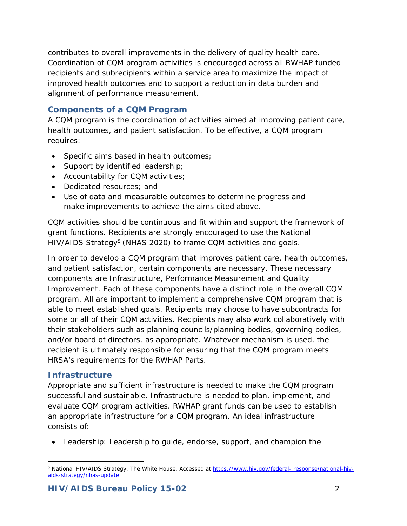contributes to overall improvements in the delivery of quality health care. Coordination of CQM program activities is encouraged across all RWHAP funded recipients and subrecipients within a service area to maximize the impact of improved health outcomes and to support a reduction in data burden and alignment of performance measurement.

# **Components of a CQM Program**

A CQM program is the coordination of activities aimed at improving patient care, health outcomes, and patient satisfaction. To be effective, a CQM program requires:

- Specific aims based in health outcomes;
- Support by identified leadership;
- Accountability for CQM activities;
- Dedicated resources; and
- Use of data and measurable outcomes to determine progress and make improvements to achieve the aims cited above.

CQM activities should be continuous and fit within and support the framework of grant functions. Recipients are strongly encouraged to use the National HIV/AIDS Strategy<sup>[5](#page-1-0)</sup> (NHAS 2020) to frame CQM activities and goals.

In order to develop a CQM program that improves patient care, health outcomes, and patient satisfaction, certain components are necessary. These necessary components are Infrastructure, Performance Measurement and Quality Improvement. Each of these components have a distinct role in the overall CQM program. All are important to implement a comprehensive CQM program that is able to meet established goals. Recipients may choose to have subcontracts for some or all of their CQM activities. Recipients may also work collaboratively with their stakeholders such as planning councils/planning bodies, governing bodies, and/or board of directors, as appropriate. Whatever mechanism is used, the recipient is ultimately responsible for ensuring that the CQM program meets HRSA's requirements for the RWHAP Parts.

# **Infrastructure**

Appropriate and sufficient infrastructure is needed to make the CQM program successful and sustainable. Infrastructure is needed to plan, implement, and evaluate CQM program activities. RWHAP grant funds can be used to establish an appropriate infrastructure for a CQM program. An ideal infrastructure consists of:

• Leadership: Leadership to guide, endorse, support, and champion the

<span id="page-1-0"></span><sup>5</sup> National HIV/AIDS Strategy. The White House. Accessed at [https://www.hiv.gov/federal-](https://www.hiv.gov/federal-response/national-hiv-aids-strategy/nhas-update) [response/national-hiv](https://www.hiv.gov/federal-response/national-hiv-aids-strategy/nhas-update)[aids-strategy/nhas-update](https://www.hiv.gov/federal-response/national-hiv-aids-strategy/nhas-update)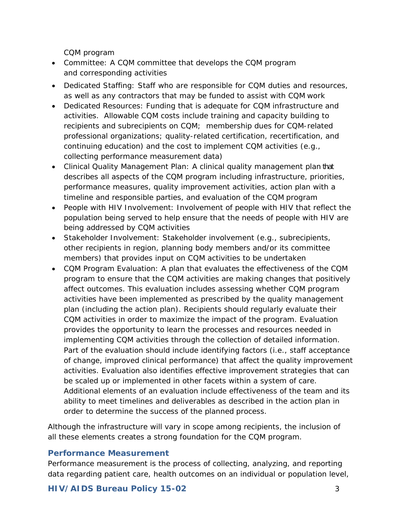CQM program

- Committee: A CQM committee that develops the CQM program and corresponding activities
- Dedicated Staffing: Staff who are responsible for CQM duties and resources, as well as any contractors that may be funded to assist with CQM work
- Dedicated Resources: Funding that is adequate for CQM infrastructure and activities. Allowable CQM costs include training and capacity building to recipients and subrecipients on CQM; membership dues for CQM-related professional organizations; quality-related certification, recertification, and continuing education) and the cost to implement CQM activities (e.g., collecting performance measurement data)
- Clinical Quality Management Plan: A clinical quality management plan that describes all aspects of the CQM program including infrastructure, priorities, performance measures, quality improvement activities, action plan with a timeline and responsible parties, and evaluation of the CQM program
- People with HIV Involvement: Involvement of people with HIV that reflect the population being served to help ensure that the needs of people with HIV are being addressed by CQM activities
- Stakeholder Involvement: Stakeholder involvement (e.g., subrecipients, other recipients in region, planning body members and/or its committee members) that provides input on CQM activities to be undertaken
- CQM Program Evaluation: A plan that evaluates the effectiveness of the CQM program to ensure that the CQM activities are making changes that positively affect outcomes. This evaluation includes assessing whether CQM program activities have been implemented as prescribed by the quality management plan (including the action plan). Recipients should regularly evaluate their CQM activities in order to maximize the impact of the program. Evaluation provides the opportunity to learn the processes and resources needed in implementing CQM activities through the collection of detailed information. Part of the evaluation should include identifying factors (i.e., staff acceptance of change, improved clinical performance) that affect the quality improvement activities. Evaluation also identifies effective improvement strategies that can be scaled up or implemented in other facets within a system of care. Additional elements of an evaluation include effectiveness of the team and its ability to meet timelines and deliverables as described in the action plan in order to determine the success of the planned process.

Although the infrastructure will vary in scope among recipients, the inclusion of all these elements creates a strong foundation for the CQM program.

# **Performance Measurement**

Performance measurement is the process of collecting, analyzing, and reporting data regarding patient care, health outcomes on an individual or population level,

# **HIV/AIDS Bureau Policy 15-02** 3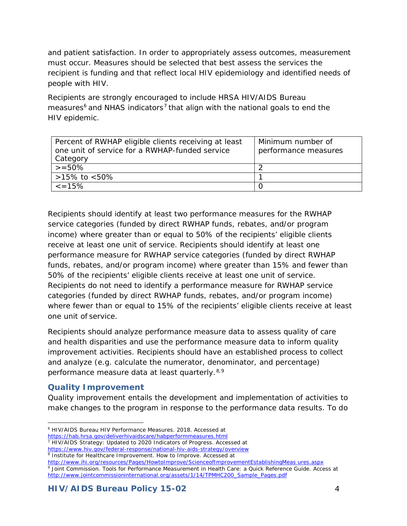and patient satisfaction. In order to appropriately assess outcomes, measurement must occur. Measures should be selected that best assess the services the recipient is funding and that reflect local HIV epidemiology and identified needs of people with HIV.

Recipients are strongly encouraged to include HRSA HIV/AIDS Bureau measures $6$  and NHAS indicators<sup>[7](#page-3-1)</sup> that align with the national goals to end the HIV epidemic.

| Percent of RWHAP eligible clients receiving at least<br>one unit of service for a RWHAP-funded service<br>Category | Minimum number of<br>performance measures |
|--------------------------------------------------------------------------------------------------------------------|-------------------------------------------|
| $>= 50\%$                                                                                                          |                                           |
| >15% to <50%                                                                                                       |                                           |
| $\leq$ = 15%                                                                                                       |                                           |

Recipients should identify at least two performance measures for the RWHAP service categories (funded by direct RWHAP funds, rebates, and/or program income) where greater than or equal to 50% of the recipients' eligible clients receive at least one unit of service. Recipients should identify at least one performance measure for RWHAP service categories (funded by direct RWHAP funds, rebates, and/or program income) where greater than 15% and fewer than 50% of the recipients' eligible clients receive at least one unit of service. Recipients do not need to identify a performance measure for RWHAP service categories (funded by direct RWHAP funds, rebates, and/or program income) where fewer than or equal to 15% of the recipients' eligible clients receive at least one unit of service.

Recipients should analyze performance measure data to assess quality of care and health disparities and use the performance measure data to inform quality improvement activities. Recipients should have an established process to collect and analyze (e.g. calculate the numerator, denominator, and percentage) performance measure data at least quarterly. [8,](#page-3-2)[9](#page-3-3)

# **Quality Improvement**

Quality improvement entails the development and implementation of activities to make changes to the program in response to the performance data results. To do

<span id="page-3-3"></span>[http://www.ihi.org/resources/Pages/HowtoImprove/ScienceofImprovementEstablishingMeas](http://www.ihi.org/resources/Pages/HowtoImprove/ScienceofImprovementEstablishingMeasures.aspx) [ures.aspx](http://www.ihi.org/resources/Pages/HowtoImprove/ScienceofImprovementEstablishingMeasures.aspx) <sup>9</sup> Joint Commission. Tools for Performance Measurement in Health Care: a Quick Reference Guide. Access at [http://www.jointcommissioninternational.org/assets/1/14/TPMHC200\\_Sample\\_Pages.pdf](http://www.jointcommissioninternational.org/assets/1/14/TPMHC200_Sample_Pages.pdf)

l <sup>6</sup> HIV/AIDS Bureau HIV Performance Measures. 2018. Accessed at

<span id="page-3-0"></span><https://hab.hrsa.gov/deliverhivaidscare/habperformmeasures.html>

<sup>7</sup> HIV/AIDS Strategy: Updated to 2020 Indicators of Progress. Accessed at

<span id="page-3-2"></span><span id="page-3-1"></span><https://www.hiv.gov/federal-response/national-hiv-aids-strategy/overview>

<sup>8</sup> Ins[t](http://www.ihi.org/resources/Pages/HowtoImprove/ScienceofImprovementEstablishingMeasures.aspx)itute for Healthcare Improvement. How to Improve. Accessed at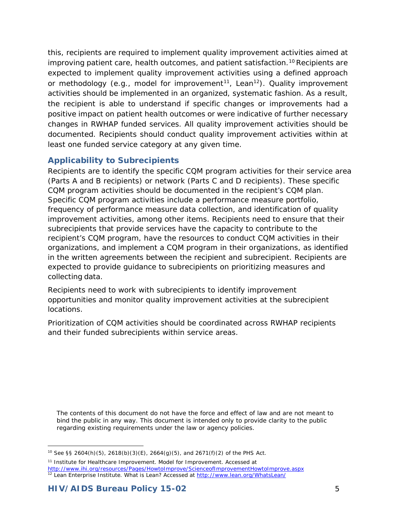this, recipients are required to implement quality improvement activities aimed at improving patient care, health outcomes, and patient satisfaction.<sup>[10](#page-4-0)</sup> Recipients are expected to implement quality improvement activities using a defined approach or methodology (e.g., model for improvement<sup>[11](#page-4-1)</sup>, Lean<sup>[12](#page-4-2)</sup>). Quality improvement activities should be implemented in an organized, systematic fashion. As a result, the recipient is able to understand if specific changes or improvements had a positive impact on patient health outcomes or were indicative of further necessary changes in RWHAP funded services. All quality improvement activities should be documented. Recipients should conduct quality improvement activities within at least one funded service category at any given time.

# **Applicability to Subrecipients**

Recipients are to identify the specific CQM program activities for their service area (Parts A and B recipients) or network (Parts C and D recipients). These specific CQM program activities should be documented in the recipient's CQM plan. Specific CQM program activities include a performance measure portfolio, frequency of performance measure data collection, and identification of quality improvement activities, among other items. Recipients need to ensure that their subrecipients that provide services have the capacity to contribute to the recipient's CQM program, have the resources to conduct CQM activities in their organizations, and implement a CQM program in their organizations, as identified in the written agreements between the recipient and subrecipient. Recipients are expected to provide guidance to subrecipients on prioritizing measures and collecting data.

Recipients need to work with subrecipients to identify improvement opportunities and monitor quality improvement activities at the subrecipient locations.

Prioritization of CQM activities should be coordinated across RWHAP recipients and their funded subrecipients within service areas.

*The contents of this document do not have the force and effect of law and are not meant to bind the public in any way. This document is intended only to provide clarity to the public regarding existing requirements under the law or agency policies.*

l <sup>10</sup> See §§ 2604(h)(5), 2618(b)(3)(E), 2664(g)(5), and 2671(f)(2) of the PHS Act.

<span id="page-4-2"></span><span id="page-4-1"></span><span id="page-4-0"></span><sup>&</sup>lt;sup>11</sup> Institute for Healthcare Improvement. Model for Improvement. Accessed at <http://www.ihi.org/resources/Pages/HowtoImprove/ScienceofImprovementHowtoImprove.aspx> <sup>12</sup> Lean Enterprise Institute. What is Lean? Accessed at<http://www.lean.org/WhatsLean/>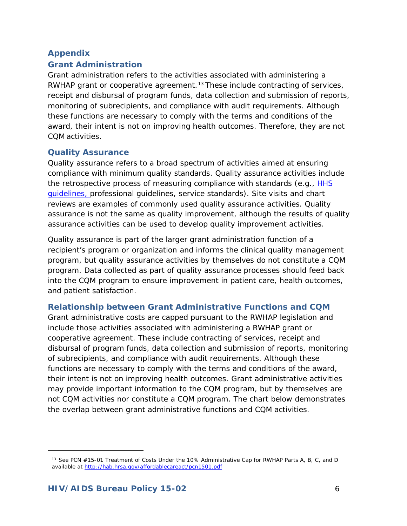# **Appendix**

#### **Grant Administration**

Grant administration refers to the activities associated with administering a RWHAP grant or cooperative agreement.<sup>[13](#page-5-0)</sup> These include contracting of services, receipt and disbursal of program funds, data collection and submission of reports, monitoring of subrecipients, and compliance with audit requirements. Although these functions are necessary to comply with the terms and conditions of the award, their intent is not on improving health outcomes. Therefore, they are not CQM activities.

#### **Quality Assurance**

Quality assurance refers to a broad spectrum of activities aimed at ensuring compliance with minimum quality standards. Quality assurance activities include the retrospective process of measuring compliance with standards (e.g., [HHS](https://aidsinfo.nih.gov/guidelines) [guidelines,](https://aidsinfo.nih.gov/guidelines) professional guidelines, service standards). Site visits and chart reviews are examples of commonly used quality assurance activities. Quality assurance is not the same as quality improvement, although the results of quality assurance activities can be used to develop quality improvement activities.

Quality assurance is part of the larger grant administration function of a recipient's program or organization and informs the clinical quality management program, but quality assurance activities by themselves do not constitute a CQM program. Data collected as part of quality assurance processes should feed back into the CQM program to ensure improvement in patient care, health outcomes, and patient satisfaction.

#### **Relationship between Grant Administrative Functions and CQM**

Grant administrative costs are capped pursuant to the RWHAP legislation and include those activities associated with administering a RWHAP grant or cooperative agreement. These include contracting of services, receipt and disbursal of program funds, data collection and submission of reports, monitoring of subrecipients, and compliance with audit requirements. Although these functions are necessary to comply with the terms and conditions of the award, their intent is not on improving health outcomes. Grant administrative activities may provide important information to the CQM program, but by themselves are not CQM activities nor constitute a CQM program. The chart below demonstrates the overlap between grant administrative functions and CQM activities.

<span id="page-5-0"></span>1

<sup>13</sup> See PCN #15-01 Treatment of Costs Under the 10% Administrative Cap for RWHAP Parts A, B, C, and D available at <http://hab.hrsa.gov/affordablecareact/pcn1501.pdf>